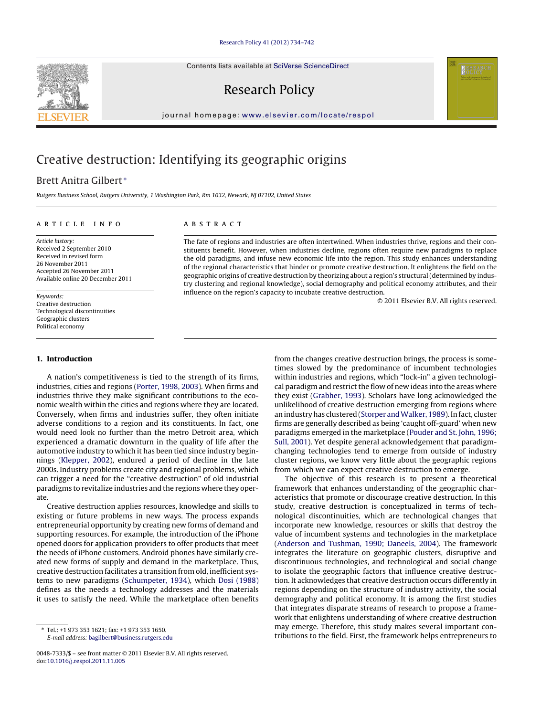Contents lists available at SciVerse [ScienceDirect](http://www.sciencedirect.com/science/journal/00487333)

## Research Policy

iournal homepage: [www.elsevier.com/locate/respol](http://www.elsevier.com/locate/respol)

# Creative destruction: Identifying its geographic origins

## Brett Anitra Gilbert <sup>∗</sup>

Rutgers Business School, Rutgers University, 1 Washington Park, Rm 1032, Newark, NJ 07102, United States

#### a r t i c l e i n f o

Article history: Received 2 September 2010 Received in revised form 26 November 2011 Accepted 26 November 2011 Available online 20 December 2011

Keywords: Creative destruction Technological discontinuities Geographic clusters Political economy

#### **1. Introduction**

A nation's competitiveness is tied to the strength of its firms, industries, cities and regions [\(Porter,](#page--1-0) [1998,](#page--1-0) [2003\).](#page--1-0) When firms and industries thrive they make significant contributions to the economic wealth within the cities and regions where they are located. Conversely, when firms and industries suffer, they often initiate adverse conditions to a region and its constituents. In fact, one would need look no further than the metro Detroit area, which experienced a dramatic downturn in the quality of life after the automotive industry to which it has been tied since industry beginnings ([Klepper,](#page--1-0) [2002\),](#page--1-0) endured a period of decline in the late 2000s. Industry problems create city and regional problems, which can trigger a need for the "creative destruction" of old industrial paradigms to revitalize industries and the regions where they operate.

Creative destruction applies resources, knowledge and skills to existing or future problems in new ways. The process expands entrepreneurial opportunity by creating new forms of demand and supporting resources. For example, the introduction of the iPhone opened doors for application providers to offer products that meet the needs of iPhone customers. Android phones have similarly created new forms of supply and demand in the marketplace. Thus, creative destruction facilitates a transition from old, inefficient systems to new paradigms ([Schumpeter,](#page--1-0) [1934\),](#page--1-0) which [Dosi](#page--1-0) [\(1988\)](#page--1-0) defines as the needs a technology addresses and the materials it uses to satisfy the need. While the marketplace often benefits

### A B S T R A C T

The fate of regions and industries are often intertwined. When industries thrive, regions and their constituents benefit. However, when industries decline, regions often require new paradigms to replace the old paradigms, and infuse new economic life into the region. This study enhances understanding of the regional characteristics that hinder or promote creative destruction. It enlightens the field on the geographic origins of creative destruction by theorizing about a region's structural(determined by industry clustering and regional knowledge), social demography and political economy attributes, and their influence on the region's capacity to incubate creative destruction.

© 2011 Elsevier B.V. All rights reserved.

from the changes creative destruction brings, the process is sometimes slowed by the predominance of incumbent technologies within industries and regions, which "lock-in" a given technological paradigm and restrict the flow of new ideas into the areas where they exist ([Grabher,](#page--1-0) [1993\).](#page--1-0) Scholars have long acknowledged the unlikelihood of creative destruction emerging from regions where an industry has clustered [\(Storper](#page--1-0) and Walker, [1989\).](#page--1-0) In fact, cluster firms are generally described as being 'caught off-guard' when new paradigms emerged in the marketplace ([Pouder](#page--1-0) [and](#page--1-0) [St.](#page--1-0) [John,](#page--1-0) [1996;](#page--1-0) [Sull,](#page--1-0) [2001\).](#page--1-0) Yet despite general acknowledgement that paradigmchanging technologies tend to emerge from outside of industry cluster regions, we know very little about the geographic regions from which we can expect creative destruction to emerge.

The objective of this research is to present a theoretical framework that enhances understanding of the geographic characteristics that promote or discourage creative destruction. In this study, creative destruction is conceptualized in terms of technological discontinuities, which are technological changes that incorporate new knowledge, resources or skills that destroy the value of incumbent systems and technologies in the marketplace [\(Anderson](#page--1-0) [and](#page--1-0) [Tushman,](#page--1-0) [1990;](#page--1-0) [Daneels,](#page--1-0) [2004\).](#page--1-0) The framework integrates the literature on geographic clusters, disruptive and discontinuous technologies, and technological and social change to isolate the geographic factors that influence creative destruction. It acknowledges that creative destruction occurs differently in regions depending on the structure of industry activity, the social demography and political economy. It is among the first studies that integrates disparate streams of research to propose a framework that enlightens understanding of where creative destruction may emerge. Therefore, this study makes several important contributions to the field. First, the framework helps entrepreneurs to



<sup>∗</sup> Tel.: +1 973 353 1621; fax: +1 973 353 1650. E-mail address: [bagilbert@business.rutgers.edu](mailto:bagilbert@business.rutgers.edu)

<sup>0048-7333/\$</sup> – see front matter © 2011 Elsevier B.V. All rights reserved. doi:[10.1016/j.respol.2011.11.005](dx.doi.org/10.1016/j.respol.2011.11.005)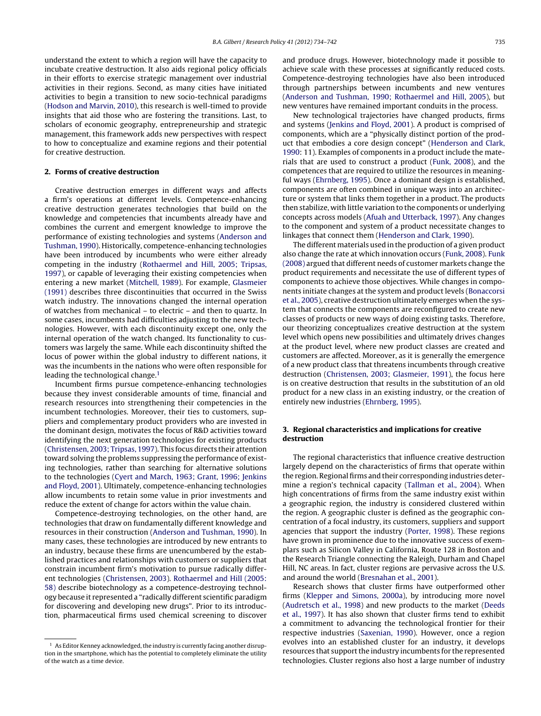understand the extent to which a region will have the capacity to incubate creative destruction. It also aids regional policy officials in their efforts to exercise strategic management over industrial activities in their regions. Second, as many cities have initiated activities to begin a transition to new socio-technical paradigms ([Hodson](#page--1-0) [and](#page--1-0) [Marvin,](#page--1-0) [2010\),](#page--1-0) this research is well-timed to provide insights that aid those who are fostering the transitions. Last, to scholars of economic geography, entrepreneurship and strategic management, this framework adds new perspectives with respect to how to conceptualize and examine regions and their potential for creative destruction.

#### **2. Forms of creative destruction**

Creative destruction emerges in different ways and affects a firm's operations at different levels. Competence-enhancing creative destruction generates technologies that build on the knowledge and competencies that incumbents already have and combines the current and emergent knowledge to improve the performance of existing technologies and systems [\(Anderson](#page--1-0) [and](#page--1-0) [Tushman,](#page--1-0) [1990\).](#page--1-0) Historically, competence-enhancing technologies have been introduced by incumbents who were either already competing in the industry ([Rothaermel](#page--1-0) [and](#page--1-0) [Hill,](#page--1-0) [2005;](#page--1-0) [Tripsas,](#page--1-0) [1997\),](#page--1-0) or capable of leveraging their existing competencies when entering a new market ([Mitchell,](#page--1-0) [1989\).](#page--1-0) For example, [Glasmeier](#page--1-0) [\(1991\)](#page--1-0) describes three discontinuities that occurred in the Swiss watch industry. The innovations changed the internal operation of watches from mechanical – to electric – and then to quartz. In some cases, incumbents had difficulties adjusting to the new technologies. However, with each discontinuity except one, only the internal operation of the watch changed. Its functionality to customers was largely the same. While each discontinuity shifted the locus of power within the global industry to different nations, it was the incumbents in the nations who were often responsible for leading the technological change.<sup>1</sup>

Incumbent firms pursue competence-enhancing technologies because they invest considerable amounts of time, financial and research resources into strengthening their competencies in the incumbent technologies. Moreover, their ties to customers, suppliers and complementary product providers who are invested in the dominant design, motivates the focus of R&D activities toward identifying the next generation technologies for existing products ([Christensen,](#page--1-0) [2003;](#page--1-0) [Tripsas,](#page--1-0) [1997\).](#page--1-0) This focus directs their attention toward solving the problems suppressing the performance of existing technologies, rather than searching for alternative solutions to the technologies [\(Cyert](#page--1-0) [and](#page--1-0) [March,](#page--1-0) [1963;](#page--1-0) [Grant,](#page--1-0) [1996;](#page--1-0) [Jenkins](#page--1-0) [and](#page--1-0) [Floyd,](#page--1-0) [2001\).](#page--1-0) Ultimately, competence-enhancing technologies allow incumbents to retain some value in prior investments and reduce the extent of change for actors within the value chain.

Competence-destroying technologies, on the other hand, are technologies that draw on fundamentally different knowledge and resources in their construction ([Anderson](#page--1-0) [and](#page--1-0) [Tushman,](#page--1-0) [1990\).](#page--1-0) In many cases, these technologies are introduced by new entrants to an industry, because these firms are unencumbered by the established practices and relationships with customers or suppliers that constrain incumbent firm's motivation to pursue radically different technologies [\(Christensen,](#page--1-0) [2003\).](#page--1-0) [Rothaermel](#page--1-0) [and](#page--1-0) [Hill](#page--1-0) [\(2005:](#page--1-0) [58\)](#page--1-0) describe biotechnology as a competence-destroying technology because it represented a "radically different scientific paradigm for discovering and developing new drugs". Prior to its introduction, pharmaceutical firms used chemical screening to discover and produce drugs. However, biotechnology made it possible to achieve scale with these processes at significantly reduced costs. Competence-destroying technologies have also been introduced through partnerships between incumbents and new ventures [\(Anderson](#page--1-0) [and](#page--1-0) [Tushman,](#page--1-0) [1990;](#page--1-0) [Rothaermel](#page--1-0) [and](#page--1-0) [Hill,](#page--1-0) [2005\),](#page--1-0) but new ventures have remained important conduits in the process.

New technological trajectories have changed products, firms and systems ([Jenkins](#page--1-0) [and](#page--1-0) [Floyd,](#page--1-0) [2001\).](#page--1-0) A product is comprised of components, which are a "physically distinct portion of the product that embodies a core design concept" [\(Henderson](#page--1-0) [and](#page--1-0) [Clark,](#page--1-0) [1990:](#page--1-0) 11). Examples of components in a product include the materials that are used to construct a product [\(Funk,](#page--1-0) [2008\),](#page--1-0) and the competences that are required to utilize the resources in meaningful ways ([Ehrnberg,](#page--1-0) [1995\).](#page--1-0) Once a dominant design is established, components are often combined in unique ways into an architecture or system that links them together in a product. The products then stabilize, with little variation to the components or underlying concepts across models [\(Afuah](#page--1-0) [and](#page--1-0) [Utterback,](#page--1-0) [1997\).](#page--1-0) Any changes to the component and system of a product necessitate changes to linkages that connect them ([Henderson](#page--1-0) [and](#page--1-0) [Clark,](#page--1-0) [1990\).](#page--1-0)

The different materials used in the production of a given product also change the rate at which innovation occurs ([Funk,](#page--1-0) [2008\).](#page--1-0) [Funk](#page--1-0) [\(2008\)](#page--1-0) argued that different needs of customer markets change the product requirements and necessitate the use of different types of components to achieve those objectives. While changes in components initiate changes at the system and product levels ([Bonaccorsi](#page--1-0) et [al.,](#page--1-0) [2005\),](#page--1-0) creative destruction ultimately emerges when the system that connects the components are reconfigured to create new classes of products or new ways of doing existing tasks. Therefore, our theorizing conceptualizes creative destruction at the system level which opens new possibilities and ultimately drives changes at the product level, where new product classes are created and customers are affected. Moreover, as it is generally the emergence of a new product class that threatens incumbents through creative destruction [\(Christensen,](#page--1-0) [2003;](#page--1-0) [Glasmeier,](#page--1-0) [1991\),](#page--1-0) the focus here is on creative destruction that results in the substitution of an old product for a new class in an existing industry, or the creation of entirely new industries [\(Ehrnberg,](#page--1-0) [1995\).](#page--1-0)

#### **3. Regional characteristics and implications for creative destruction**

The regional characteristics that influence creative destruction largely depend on the characteristics of firms that operate within the region. Regional firms and their corresponding industries determine a region's technical capacity ([Tallman](#page--1-0) et [al.,](#page--1-0) [2004\).](#page--1-0) When high concentrations of firms from the same industry exist within a geographic region, the industry is considered clustered within the region. A geographic cluster is defined as the geographic concentration of a focal industry, its customers, suppliers and support agencies that support the industry [\(Porter,](#page--1-0) [1998\).](#page--1-0) These regions have grown in prominence due to the innovative success of exemplars such as Silicon Valley in California, Route 128 in Boston and the Research Triangle connecting the Raleigh, Durham and Chapel Hill, NC areas. In fact, cluster regions are pervasive across the U.S. and around the world [\(Bresnahan](#page--1-0) et [al.,](#page--1-0) [2001\).](#page--1-0)

Research shows that cluster firms have outperformed other firms [\(Klepper](#page--1-0) [and](#page--1-0) [Simons,](#page--1-0) [2000a\),](#page--1-0) by introducing more novel [\(Audretsch](#page--1-0) et [al.,](#page--1-0) [1998\)](#page--1-0) and new products to the market ([Deeds](#page--1-0) et [al.,](#page--1-0) [1997\).](#page--1-0) It has also shown that cluster firms tend to exhibit a commitment to advancing the technological frontier for their respective industries ([Saxenian,](#page--1-0) [1990\).](#page--1-0) However, once a region evolves into an established cluster for an industry, it develops resources that support the industry incumbents for the represented technologies. Cluster regions also host a large number of industry

 $1$  As Editor Kenney acknowledged, the industry is currently facing another disruption in the smartphone, which has the potential to completely eliminate the utility of the watch as a time device.